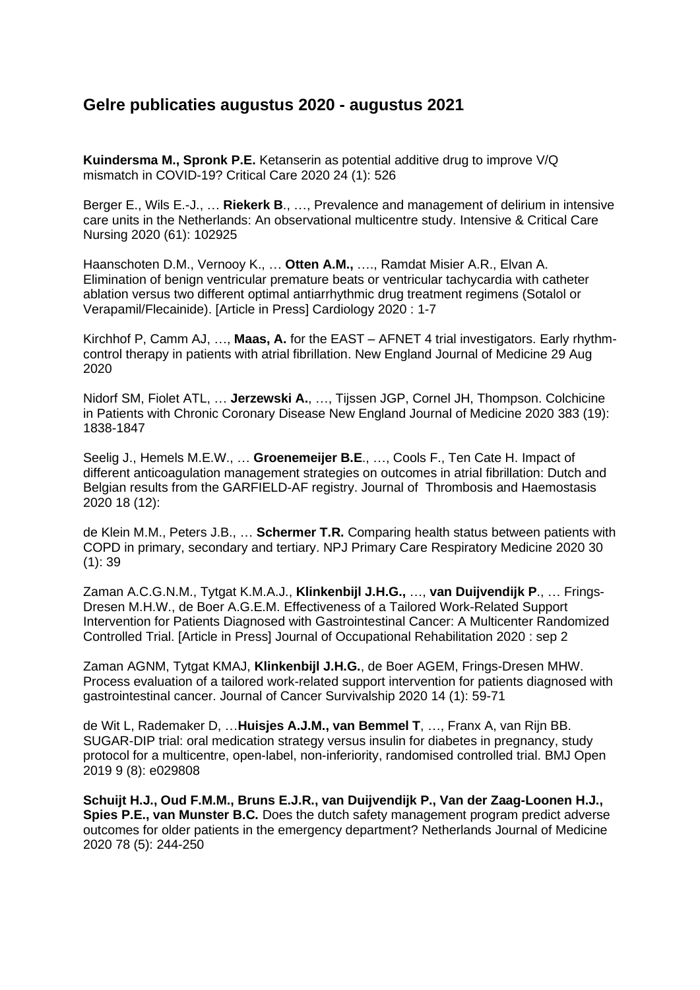## **Gelre publicaties augustus 2020 - augustus 2021**

**Kuindersma M., Spronk P.E.** Ketanserin as potential additive drug to improve V/Q mismatch in COVID-19? Critical Care 2020 24 (1): 526

Berger E., Wils E.-J., … **Riekerk B**., …, Prevalence and management of delirium in intensive care units in the Netherlands: An observational multicentre study. Intensive & Critical Care Nursing 2020 (61): 102925

Haanschoten D.M., Vernooy K., … **Otten A.M.,** …., Ramdat Misier A.R., Elvan A. Elimination of benign ventricular premature beats or ventricular tachycardia with catheter ablation versus two different optimal antiarrhythmic drug treatment regimens (Sotalol or Verapamil/Flecainide). [Article in Press] Cardiology 2020 : 1-7

Kirchhof P, Camm AJ, …, **Maas, A.** for the EAST – AFNET 4 trial investigators. Early rhythmcontrol therapy in patients with atrial fibrillation. New England Journal of Medicine 29 Aug 2020

Nidorf SM, Fiolet ATL, … **Jerzewski A.**, …, Tijssen JGP, Cornel JH, Thompson. Colchicine in Patients with Chronic Coronary Disease New England Journal of Medicine 2020 383 (19): 1838-1847

Seelig J., Hemels M.E.W., … **Groenemeijer B.E**., …, Cools F., Ten Cate H. Impact of different anticoagulation management strategies on outcomes in atrial fibrillation: Dutch and Belgian results from the GARFIELD-AF registry. Journal of Thrombosis and Haemostasis 2020 18 (12):

de Klein M.M., Peters J.B., … **Schermer T.R.** Comparing health status between patients with COPD in primary, secondary and tertiary. NPJ Primary Care Respiratory Medicine 2020 30 (1): 39

Zaman A.C.G.N.M., Tytgat K.M.A.J., **Klinkenbijl J.H.G.,** …, **van Duijvendijk P**., … Frings-Dresen M.H.W., de Boer A.G.E.M. Effectiveness of a Tailored Work-Related Support Intervention for Patients Diagnosed with Gastrointestinal Cancer: A Multicenter Randomized Controlled Trial. [Article in Press] Journal of Occupational Rehabilitation 2020 : sep 2

Zaman AGNM, Tytgat KMAJ, **Klinkenbijl J.H.G.**, de Boer AGEM, Frings-Dresen MHW. Process evaluation of a tailored work-related support intervention for patients diagnosed with gastrointestinal cancer. Journal of Cancer Survivalship 2020 14 (1): 59-71

de Wit L, Rademaker D, …**Huisjes A.J.M., van Bemmel T**, …, Franx A, van Rijn BB. SUGAR-DIP trial: oral medication strategy versus insulin for diabetes in pregnancy, study protocol for a multicentre, open-label, non-inferiority, randomised controlled trial. BMJ Open 2019 9 (8): e029808

**Schuijt H.J., Oud F.M.M., Bruns E.J.R., van Duijvendijk P., Van der Zaag-Loonen H.J., Spies P.E., van Munster B.C.** Does the dutch safety management program predict adverse outcomes for older patients in the emergency department? Netherlands Journal of Medicine 2020 78 (5): 244-250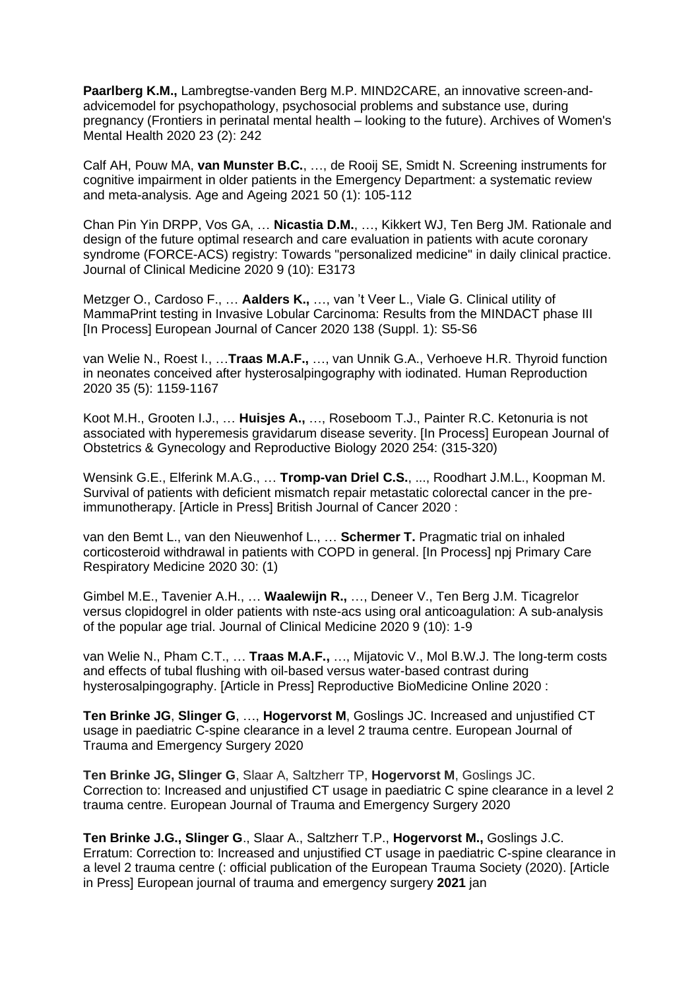Paarlberg K.M., Lambregtse-vanden Berg M.P. MIND2CARE, an innovative screen-andadvicemodel for psychopathology, psychosocial problems and substance use, during pregnancy (Frontiers in perinatal mental health – looking to the future). Archives of Women's Mental Health 2020 23 (2): 242

Calf AH, Pouw MA, **van Munster B.C.**, …, de Rooij SE, Smidt N. Screening instruments for cognitive impairment in older patients in the Emergency Department: a systematic review and meta-analysis. Age and Ageing 2021 50 (1): 105-112

Chan Pin Yin DRPP, Vos GA, … **Nicastia D.M.**, …, Kikkert WJ, Ten Berg JM. Rationale and design of the future optimal research and care evaluation in patients with acute coronary syndrome (FORCE-ACS) registry: Towards "personalized medicine" in daily clinical practice. Journal of Clinical Medicine 2020 9 (10): E3173

Metzger O., Cardoso F., … **Aalders K.,** …, van 't Veer L., Viale G. Clinical utility of MammaPrint testing in Invasive Lobular Carcinoma: Results from the MINDACT phase III [In Process] European Journal of Cancer 2020 138 (Suppl. 1): S5-S6

van Welie N., Roest I., …**Traas M.A.F.,** …, van Unnik G.A., Verhoeve H.R. Thyroid function in neonates conceived after hysterosalpingography with iodinated. Human Reproduction 2020 35 (5): 1159-1167

Koot M.H., Grooten I.J., … **Huisjes A.,** …, Roseboom T.J., Painter R.C. Ketonuria is not associated with hyperemesis gravidarum disease severity. [In Process] European Journal of Obstetrics & Gynecology and Reproductive Biology 2020 254: (315-320)

Wensink G.E., Elferink M.A.G., … **Tromp-van Driel C.S.**, ..., Roodhart J.M.L., Koopman M. Survival of patients with deficient mismatch repair metastatic colorectal cancer in the preimmunotherapy. [Article in Press] British Journal of Cancer 2020 :

van den Bemt L., van den Nieuwenhof L., … **Schermer T.** Pragmatic trial on inhaled corticosteroid withdrawal in patients with COPD in general. [In Process] npj Primary Care Respiratory Medicine 2020 30: (1)

Gimbel M.E., Tavenier A.H., … **Waalewijn R.,** …, Deneer V., Ten Berg J.M. Ticagrelor versus clopidogrel in older patients with nste-acs using oral anticoagulation: A sub-analysis of the popular age trial. Journal of Clinical Medicine 2020 9 (10): 1-9

van Welie N., Pham C.T., … **Traas M.A.F.,** …, Mijatovic V., Mol B.W.J. The long-term costs and effects of tubal flushing with oil-based versus water-based contrast during hysterosalpingography. [Article in Press] Reproductive BioMedicine Online 2020 :

**Ten Brinke JG**, **Slinger G**, …, **Hogervorst M**, Goslings JC. Increased and unjustified CT usage in paediatric C-spine clearance in a level 2 trauma centre. European Journal of Trauma and Emergency Surgery 2020

**Ten Brinke JG, Slinger G**, Slaar A, Saltzherr TP, **Hogervorst M**, Goslings JC. Correction to: Increased and unjustified CT usage in paediatric C spine clearance in a level 2 trauma centre. European Journal of Trauma and Emergency Surgery 2020

**Ten Brinke J.G., Slinger G**., Slaar A., Saltzherr T.P., **Hogervorst M.,** Goslings J.C. Erratum: Correction to: Increased and unjustified CT usage in paediatric C-spine clearance in a level 2 trauma centre (: official publication of the European Trauma Society (2020). [Article in Press] European journal of trauma and emergency surgery **2021** jan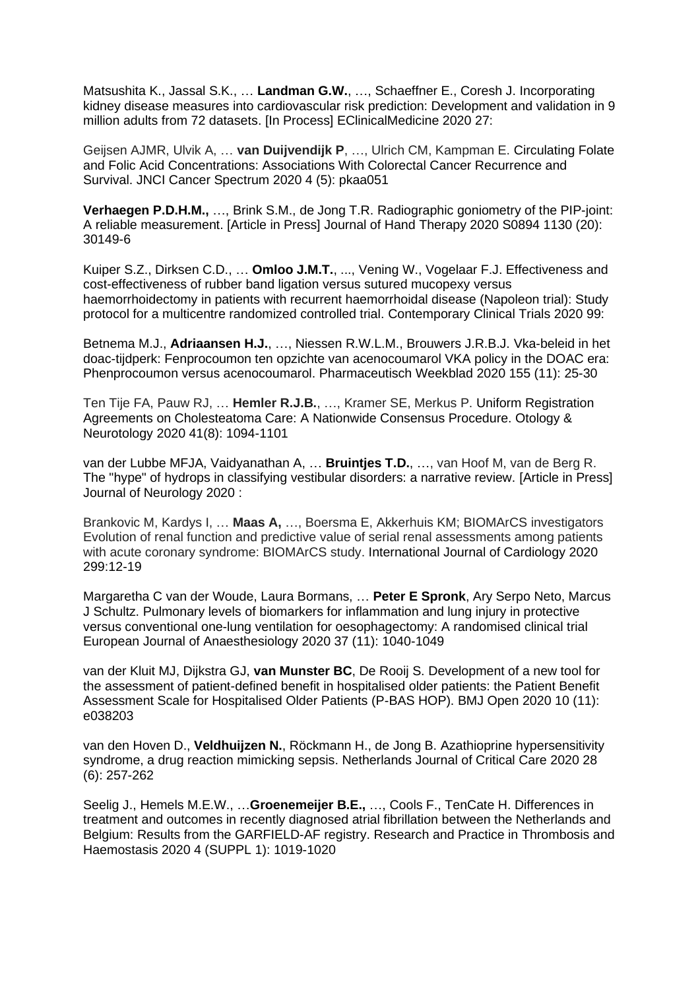Matsushita K., Jassal S.K., … **Landman G.W.**, …, Schaeffner E., Coresh J. Incorporating kidney disease measures into cardiovascular risk prediction: Development and validation in 9 million adults from 72 datasets. [In Process] EClinicalMedicine 2020 27:

Geijsen AJMR, Ulvik A, … **van Duijvendijk P**, …, Ulrich CM, Kampman E. Circulating Folate and Folic Acid Concentrations: Associations With Colorectal Cancer Recurrence and Survival. JNCI Cancer Spectrum 2020 4 (5): pkaa051

**Verhaegen P.D.H.M.,** …, Brink S.M., de Jong T.R. Radiographic goniometry of the PIP-joint: A reliable measurement. [Article in Press] Journal of Hand Therapy 2020 S0894 1130 (20): 30149-6

Kuiper S.Z., Dirksen C.D., … **Omloo J.M.T.**, ..., Vening W., Vogelaar F.J. Effectiveness and cost-effectiveness of rubber band ligation versus sutured mucopexy versus haemorrhoidectomy in patients with recurrent haemorrhoidal disease (Napoleon trial): Study protocol for a multicentre randomized controlled trial. Contemporary Clinical Trials 2020 99:

Betnema M.J., **Adriaansen H.J.**, …, Niessen R.W.L.M., Brouwers J.R.B.J. Vka-beleid in het doac-tijdperk: Fenprocoumon ten opzichte van acenocoumarol VKA policy in the DOAC era: Phenprocoumon versus acenocoumarol. Pharmaceutisch Weekblad 2020 155 (11): 25-30

Ten Tije FA, Pauw RJ, … **Hemler R.J.B.**, …, Kramer SE, Merkus P. Uniform Registration Agreements on Cholesteatoma Care: A Nationwide Consensus Procedure. Otology & Neurotology 2020 41(8): 1094-1101

van der Lubbe MFJA, Vaidyanathan A, … **Bruintjes T.D.**, …, van Hoof M, van de Berg R. The "hype" of hydrops in classifying vestibular disorders: a narrative review. [Article in Press] Journal of Neurology 2020 :

Brankovic M, Kardys I, … **Maas A,** …, Boersma E, Akkerhuis KM; BIOMArCS investigators Evolution of renal function and predictive value of serial renal assessments among patients with acute coronary syndrome: BIOMArCS study. International Journal of Cardiology 2020 299:12-19

Margaretha C van der Woude, Laura Bormans, … **Peter E Spronk**, Ary Serpo Neto, Marcus J Schultz. Pulmonary levels of biomarkers for inflammation and lung injury in protective versus conventional one-lung ventilation for oesophagectomy: A randomised clinical trial European Journal of Anaesthesiology 2020 37 (11): 1040-1049

van der Kluit MJ, Dijkstra GJ, **van Munster BC**, De Rooij S. Development of a new tool for the assessment of patient-defined benefit in hospitalised older patients: the Patient Benefit Assessment Scale for Hospitalised Older Patients (P-BAS HOP). BMJ Open 2020 10 (11): e038203

van den Hoven D., **Veldhuijzen N.**, Röckmann H., de Jong B. Azathioprine hypersensitivity syndrome, a drug reaction mimicking sepsis. Netherlands Journal of Critical Care 2020 28 (6): 257-262

Seelig J., Hemels M.E.W., …**Groenemeijer B.E.,** …, Cools F., TenCate H. Differences in treatment and outcomes in recently diagnosed atrial fibrillation between the Netherlands and Belgium: Results from the GARFIELD-AF registry. Research and Practice in Thrombosis and Haemostasis 2020 4 (SUPPL 1): 1019-1020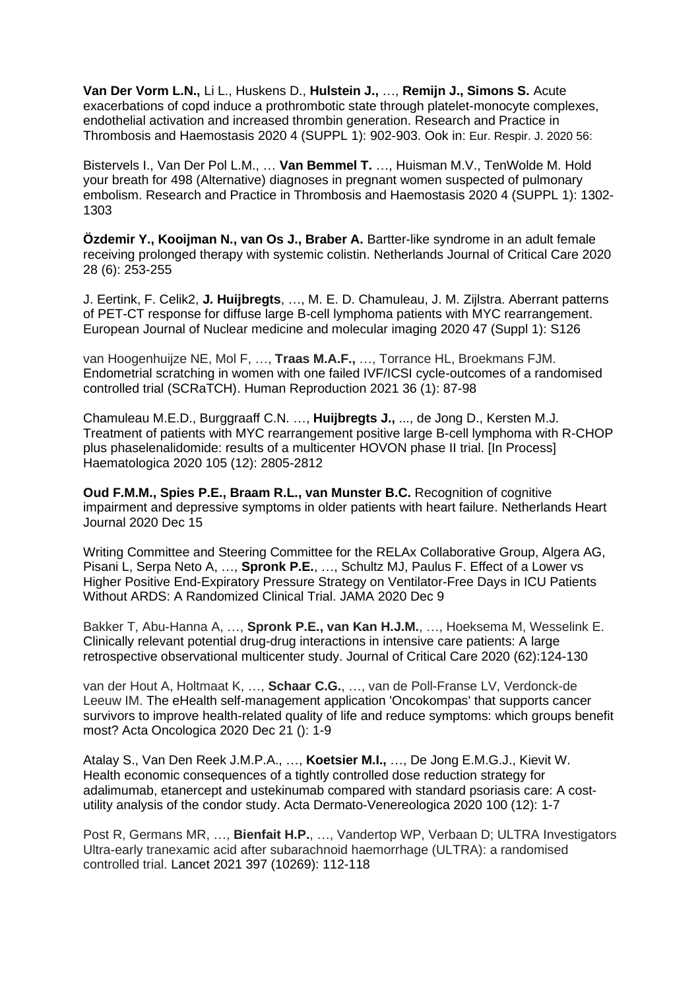**Van Der Vorm L.N.,** Li L., Huskens D., **Hulstein J.,** …, **Remijn J., Simons S.** Acute exacerbations of copd induce a prothrombotic state through platelet-monocyte complexes, endothelial activation and increased thrombin generation. Research and Practice in Thrombosis and Haemostasis 2020 4 (SUPPL 1): 902-903. Ook in: Eur. Respir. J. 2020 56:

Bistervels I., Van Der Pol L.M., … **Van Bemmel T.** …, Huisman M.V., TenWolde M. Hold your breath for 498 (Alternative) diagnoses in pregnant women suspected of pulmonary embolism. Research and Practice in Thrombosis and Haemostasis 2020 4 (SUPPL 1): 1302- 1303

**Özdemir Y., Kooijman N., van Os J., Braber A.** Bartter-like syndrome in an adult female receiving prolonged therapy with systemic colistin. Netherlands Journal of Critical Care 2020 28 (6): 253-255

J. Eertink, F. Celik2, **J. Huijbregts**, …, M. E. D. Chamuleau, J. M. Zijlstra. Aberrant patterns of PET-CT response for diffuse large B-cell lymphoma patients with MYC rearrangement. European Journal of Nuclear medicine and molecular imaging 2020 47 (Suppl 1): S126

van Hoogenhuijze NE, Mol F, …, **Traas M.A.F.,** …, Torrance HL, Broekmans FJM. Endometrial scratching in women with one failed IVF/ICSI cycle-outcomes of a randomised controlled trial (SCRaTCH). Human Reproduction 2021 36 (1): 87-98

Chamuleau M.E.D., Burggraaff C.N. …, **Huijbregts J.,** ..., de Jong D., Kersten M.J. Treatment of patients with MYC rearrangement positive large B-cell lymphoma with R-CHOP plus phaselenalidomide: results of a multicenter HOVON phase II trial. [In Process] Haematologica 2020 105 (12): 2805-2812

**Oud F.M.M., Spies P.E., Braam R.L., van Munster B.C.** Recognition of cognitive impairment and depressive symptoms in older patients with heart failure. Netherlands Heart Journal 2020 Dec 15

Writing Committee and Steering Committee for the RELAx Collaborative Group, Algera AG, Pisani L, Serpa Neto A, …, **Spronk P.E.**, …, Schultz MJ, Paulus F. Effect of a Lower vs Higher Positive End-Expiratory Pressure Strategy on Ventilator-Free Days in ICU Patients Without ARDS: A Randomized Clinical Trial. JAMA 2020 Dec 9

Bakker T, Abu-Hanna A, …, **Spronk P.E., van Kan H.J.M.**, …, Hoeksema M, Wesselink E. Clinically relevant potential drug-drug interactions in intensive care patients: A large retrospective observational multicenter study. Journal of Critical Care 2020 (62):124-130

van der Hout A, Holtmaat K, …, **Schaar C.G.**, …, van de Poll-Franse LV, Verdonck-de Leeuw IM. The eHealth self-management application 'Oncokompas' that supports cancer survivors to improve health-related quality of life and reduce symptoms: which groups benefit most? Acta Oncologica 2020 Dec 21 (): 1-9

Atalay S., Van Den Reek J.M.P.A., …, **Koetsier M.I.,** …, De Jong E.M.G.J., Kievit W. Health economic consequences of a tightly controlled dose reduction strategy for adalimumab, etanercept and ustekinumab compared with standard psoriasis care: A costutility analysis of the condor study. Acta Dermato-Venereologica 2020 100 (12): 1-7

Post R, Germans MR, …, **Bienfait H.P.**, …, Vandertop WP, Verbaan D; ULTRA Investigators Ultra-early tranexamic acid after subarachnoid haemorrhage (ULTRA): a randomised controlled trial. Lancet 2021 397 (10269): 112-118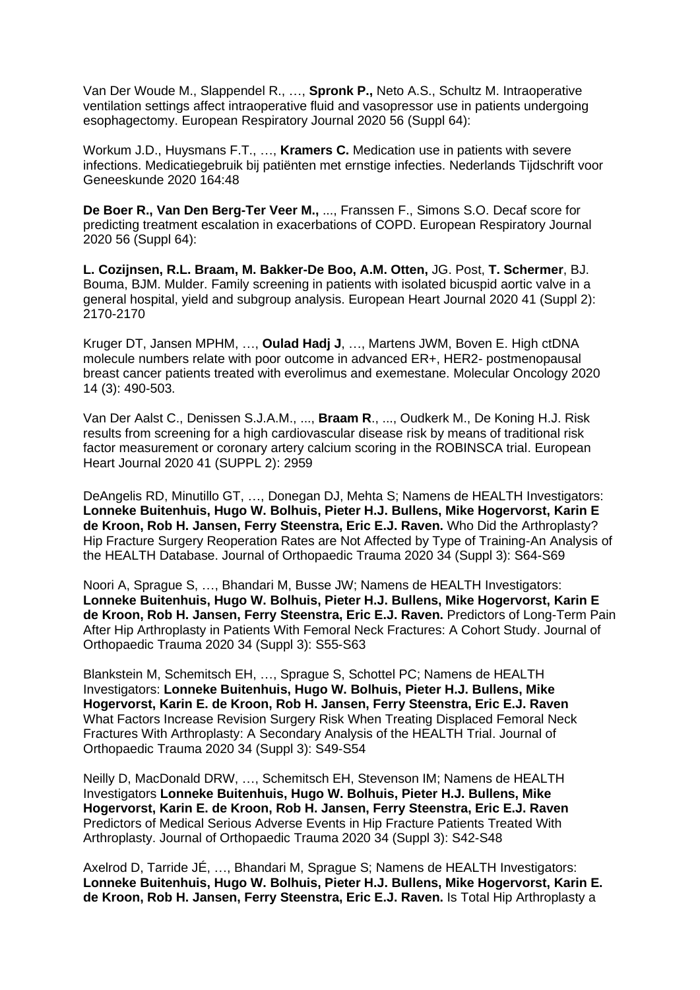Van Der Woude M., Slappendel R., …, **Spronk P.,** Neto A.S., Schultz M. Intraoperative ventilation settings affect intraoperative fluid and vasopressor use in patients undergoing esophagectomy. European Respiratory Journal 2020 56 (Suppl 64):

Workum J.D., Huysmans F.T., …, **Kramers C.** Medication use in patients with severe infections. Medicatiegebruik bij patiënten met ernstige infecties. Nederlands Tijdschrift voor Geneeskunde 2020 164:48

**De Boer R., Van Den Berg-Ter Veer M.,** ..., Franssen F., Simons S.O. Decaf score for predicting treatment escalation in exacerbations of COPD. European Respiratory Journal 2020 56 (Suppl 64):

**L. Cozijnsen, R.L. Braam, M. Bakker-De Boo, A.M. Otten,** JG. Post, **T. Schermer**, BJ. Bouma, BJM. Mulder. Family screening in patients with isolated bicuspid aortic valve in a general hospital, yield and subgroup analysis. European Heart Journal 2020 41 (Suppl 2): 2170-2170

Kruger DT, Jansen MPHM, …, **Oulad Hadj J**, …, Martens JWM, Boven E. [High ctDNA](https://eur01.safelinks.protection.outlook.com/?url=https%3A%2F%2Fpubmed.ncbi.nlm.nih.gov%2F31841262%2F&data=04%7C01%7Cd.smit%40gelre.nl%7Cbb2bf22fda9347b7debb08d8cdb3491a%7Cf9eea86eb9094b1a893fcb268b285d50%7C0%7C0%7C637485517194499454%7CUnknown%7CTWFpbGZsb3d8eyJWIjoiMC4wLjAwMDAiLCJQIjoiV2luMzIiLCJBTiI6Ik1haWwiLCJXVCI6Mn0%3D%7C1000&sdata=IDe2%2BTpGFQMjH8lfJkWu9BB8iF6oBRyh5dqc0BdKsdU%3D&reserved=0)  [molecule numbers relate with poor outcome in advanced ER+, HER2-](https://eur01.safelinks.protection.outlook.com/?url=https%3A%2F%2Fpubmed.ncbi.nlm.nih.gov%2F31841262%2F&data=04%7C01%7Cd.smit%40gelre.nl%7Cbb2bf22fda9347b7debb08d8cdb3491a%7Cf9eea86eb9094b1a893fcb268b285d50%7C0%7C0%7C637485517194499454%7CUnknown%7CTWFpbGZsb3d8eyJWIjoiMC4wLjAwMDAiLCJQIjoiV2luMzIiLCJBTiI6Ik1haWwiLCJXVCI6Mn0%3D%7C1000&sdata=IDe2%2BTpGFQMjH8lfJkWu9BB8iF6oBRyh5dqc0BdKsdU%3D&reserved=0) postmenopausal [breast cancer patients treated with everolimus and exemestane. M](https://eur01.safelinks.protection.outlook.com/?url=https%3A%2F%2Fpubmed.ncbi.nlm.nih.gov%2F31841262%2F&data=04%7C01%7Cd.smit%40gelre.nl%7Cbb2bf22fda9347b7debb08d8cdb3491a%7Cf9eea86eb9094b1a893fcb268b285d50%7C0%7C0%7C637485517194499454%7CUnknown%7CTWFpbGZsb3d8eyJWIjoiMC4wLjAwMDAiLCJQIjoiV2luMzIiLCJBTiI6Ik1haWwiLCJXVCI6Mn0%3D%7C1000&sdata=IDe2%2BTpGFQMjH8lfJkWu9BB8iF6oBRyh5dqc0BdKsdU%3D&reserved=0)olecular Oncology 2020 14 (3): 490-503.

Van Der Aalst C., Denissen S.J.A.M., ..., **Braam R**., ..., Oudkerk M., De Koning H.J. Risk results from screening for a high cardiovascular disease risk by means of traditional risk factor measurement or coronary artery calcium scoring in the ROBINSCA trial. European Heart Journal 2020 41 (SUPPL 2): 2959

DeAngelis RD, Minutillo GT, …, Donegan DJ, Mehta S; Namens de HEALTH Investigators: **[Lonneke Buitenhuis,](https://pubmed.ncbi.nlm.nih.gov/?sort=date&term=Buitenhuis+L) [Hugo W.](https://pubmed.ncbi.nlm.nih.gov/?sort=date&term=Bolhuis+HW) Bolhuis, [Pieter H.J.](https://pubmed.ncbi.nlm.nih.gov/?sort=date&term=Bullens+PHJ) Bullens, [Mike Hogervorst,](https://pubmed.ncbi.nlm.nih.gov/?sort=date&term=Hogervorst+M) [Karin E](https://pubmed.ncbi.nlm.nih.gov/?sort=date&term=de+Kroon+KE)  [de Kroon,](https://pubmed.ncbi.nlm.nih.gov/?sort=date&term=de+Kroon+KE) Rob H. [Jansen,](https://pubmed.ncbi.nlm.nih.gov/?sort=date&term=Jansen+RH) [Ferry Steenstra,](https://pubmed.ncbi.nlm.nih.gov/?sort=date&term=Steenstra+F) [Eric E.J.](https://pubmed.ncbi.nlm.nih.gov/?sort=date&term=Raven+EEJ) Raven.** [Who Did the Arthroplasty?](https://pubmed.ncbi.nlm.nih.gov/33027168/)  [Hip Fracture Surgery Reoperation Rates are Not Affected by Type of Training-An Analysis of](https://pubmed.ncbi.nlm.nih.gov/33027168/)  [the HEALTH Database.](https://pubmed.ncbi.nlm.nih.gov/33027168/) Journal of Orthopaedic Trauma 2020 34 (Suppl 3): S64-S69

Noori A, Sprague S, …, Bhandari M, Busse JW; Namens de HEALTH Investigators: **[Lonneke Buitenhuis,](https://pubmed.ncbi.nlm.nih.gov/?sort=date&term=Buitenhuis+L) [Hugo W.](https://pubmed.ncbi.nlm.nih.gov/?sort=date&term=Bolhuis+HW) Bolhuis, [Pieter H.J.](https://pubmed.ncbi.nlm.nih.gov/?sort=date&term=Bullens+PHJ) Bullens, [Mike Hogervorst,](https://pubmed.ncbi.nlm.nih.gov/?sort=date&term=Hogervorst+M) [Karin E](https://pubmed.ncbi.nlm.nih.gov/?sort=date&term=de+Kroon+KE)  [de Kroon,](https://pubmed.ncbi.nlm.nih.gov/?sort=date&term=de+Kroon+KE) Rob H. [Jansen,](https://pubmed.ncbi.nlm.nih.gov/?sort=date&term=Jansen+RH) [Ferry Steenstra,](https://pubmed.ncbi.nlm.nih.gov/?sort=date&term=Steenstra+F) [Eric E.J.](https://pubmed.ncbi.nlm.nih.gov/?sort=date&term=Raven+EEJ) Raven.** [Predictors of Long-Term Pain](https://pubmed.ncbi.nlm.nih.gov/33027167/)  [After Hip Arthroplasty in Patients With Femoral Neck Fractures: A Cohort Study.](https://pubmed.ncbi.nlm.nih.gov/33027167/) Journal of Orthopaedic Trauma 2020 34 (Suppl 3): S55-S63

Blankstein M, Schemitsch EH, …, Sprague S, Schottel PC; Namens de HEALTH Investigators: **[Lonneke Buitenhuis,](https://pubmed.ncbi.nlm.nih.gov/?sort=date&term=Buitenhuis+L) [Hugo W.](https://pubmed.ncbi.nlm.nih.gov/?sort=date&term=Bolhuis+HW) Bolhuis, [Pieter H.J.](https://pubmed.ncbi.nlm.nih.gov/?sort=date&term=Bullens+PHJ) Bullens, [Mike](https://pubmed.ncbi.nlm.nih.gov/?sort=date&term=Hogervorst+M)  [Hogervorst,](https://pubmed.ncbi.nlm.nih.gov/?sort=date&term=Hogervorst+M) Karin E. [de Kroon,](https://pubmed.ncbi.nlm.nih.gov/?sort=date&term=de+Kroon+KE) Rob H. [Jansen,](https://pubmed.ncbi.nlm.nih.gov/?sort=date&term=Jansen+RH) [Ferry Steenstra,](https://pubmed.ncbi.nlm.nih.gov/?sort=date&term=Steenstra+F) [Eric E.J.](https://pubmed.ncbi.nlm.nih.gov/?sort=date&term=Raven+EEJ) Raven** [What Factors Increase Revision Surgery Risk When Treating Displaced Femoral Neck](https://pubmed.ncbi.nlm.nih.gov/33027166/)  [Fractures With Arthroplasty: A Secondary Analysis of the HEALTH Trial.](https://pubmed.ncbi.nlm.nih.gov/33027166/) Journal of Orthopaedic Trauma 2020 34 (Suppl 3): S49-S54

Neilly D, MacDonald DRW, …, Schemitsch EH, Stevenson IM; Namens de HEALTH Investigators **[Lonneke Buitenhuis,](https://pubmed.ncbi.nlm.nih.gov/?sort=date&term=Buitenhuis+L) [Hugo W.](https://pubmed.ncbi.nlm.nih.gov/?sort=date&term=Bolhuis+HW) Bolhuis, [Pieter H.J.](https://pubmed.ncbi.nlm.nih.gov/?sort=date&term=Bullens+PHJ) Bullens, [Mike](https://pubmed.ncbi.nlm.nih.gov/?sort=date&term=Hogervorst+M)  [Hogervorst,](https://pubmed.ncbi.nlm.nih.gov/?sort=date&term=Hogervorst+M) Karin E. [de Kroon,](https://pubmed.ncbi.nlm.nih.gov/?sort=date&term=de+Kroon+KE) Rob H. [Jansen,](https://pubmed.ncbi.nlm.nih.gov/?sort=date&term=Jansen+RH) [Ferry Steenstra,](https://pubmed.ncbi.nlm.nih.gov/?sort=date&term=Steenstra+F) [Eric E.J.](https://pubmed.ncbi.nlm.nih.gov/?sort=date&term=Raven+EEJ) Raven** [Predictors of Medical Serious Adverse Events in Hip Fracture Patients Treated With](https://pubmed.ncbi.nlm.nih.gov/33027165/)  [Arthroplasty.](https://pubmed.ncbi.nlm.nih.gov/33027165/) Journal of Orthopaedic Trauma 2020 34 (Suppl 3): S42-S48

Axelrod D, Tarride JÉ, …, Bhandari M, Sprague S; Namens de HEALTH Investigators: **[Lonneke Buitenhuis,](https://pubmed.ncbi.nlm.nih.gov/?sort=date&term=Buitenhuis+L) [Hugo W.](https://pubmed.ncbi.nlm.nih.gov/?sort=date&term=Bolhuis+HW) Bolhuis, [Pieter H.J.](https://pubmed.ncbi.nlm.nih.gov/?sort=date&term=Bullens+PHJ) Bullens, [Mike Hogervorst,](https://pubmed.ncbi.nlm.nih.gov/?sort=date&term=Hogervorst+M) [Karin E.](https://pubmed.ncbi.nlm.nih.gov/?sort=date&term=de+Kroon+KE)  [de Kroon,](https://pubmed.ncbi.nlm.nih.gov/?sort=date&term=de+Kroon+KE) Rob H. [Jansen,](https://pubmed.ncbi.nlm.nih.gov/?sort=date&term=Jansen+RH) [Ferry Steenstra,](https://pubmed.ncbi.nlm.nih.gov/?sort=date&term=Steenstra+F) [Eric E.J.](https://pubmed.ncbi.nlm.nih.gov/?sort=date&term=Raven+EEJ) Raven.** [Is Total Hip Arthroplasty a](https://pubmed.ncbi.nlm.nih.gov/33027164/)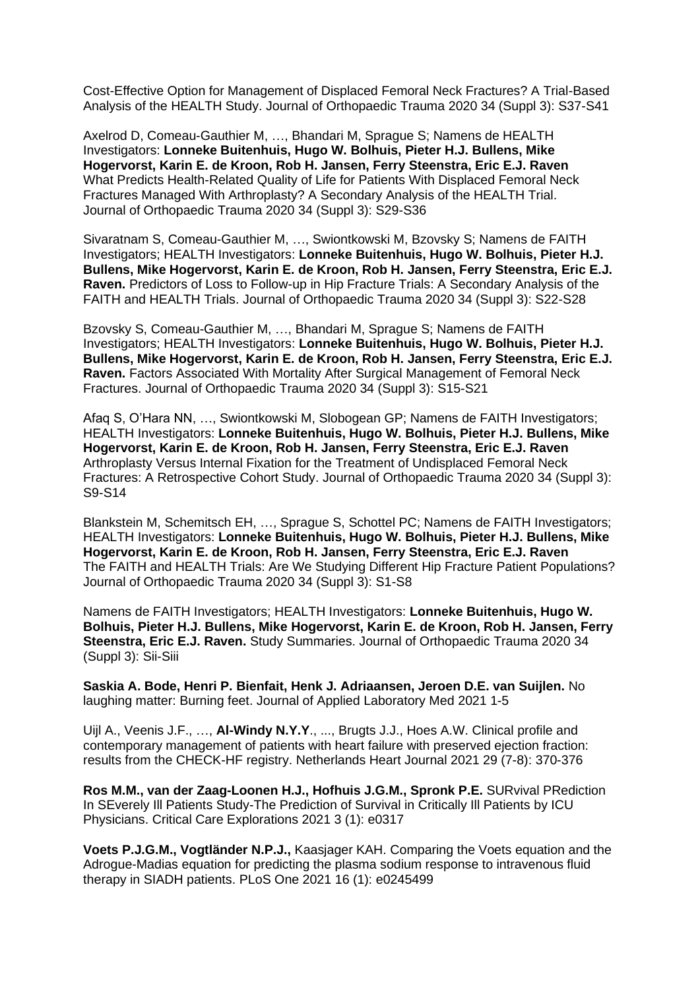[Cost-Effective Option for Management of Displaced Femoral Neck Fractures? A Trial-Based](https://pubmed.ncbi.nlm.nih.gov/33027164/)  [Analysis of the HEALTH Study.](https://pubmed.ncbi.nlm.nih.gov/33027164/) Journal of Orthopaedic Trauma 2020 34 (Suppl 3): S37-S41

Axelrod D, Comeau-Gauthier M, …, Bhandari M, Sprague S; Namens de HEALTH Investigators: **[Lonneke Buitenhuis,](https://pubmed.ncbi.nlm.nih.gov/?sort=date&term=Buitenhuis+L) [Hugo W.](https://pubmed.ncbi.nlm.nih.gov/?sort=date&term=Bolhuis+HW) Bolhuis, [Pieter H.J.](https://pubmed.ncbi.nlm.nih.gov/?sort=date&term=Bullens+PHJ) Bullens, [Mike](https://pubmed.ncbi.nlm.nih.gov/?sort=date&term=Hogervorst+M)  [Hogervorst,](https://pubmed.ncbi.nlm.nih.gov/?sort=date&term=Hogervorst+M) Karin E. [de Kroon,](https://pubmed.ncbi.nlm.nih.gov/?sort=date&term=de+Kroon+KE) [Rob H. Jansen,](https://pubmed.ncbi.nlm.nih.gov/?sort=date&term=Jansen+RH) [Ferry Steenstra,](https://pubmed.ncbi.nlm.nih.gov/?sort=date&term=Steenstra+F) [Eric E.J.](https://pubmed.ncbi.nlm.nih.gov/?sort=date&term=Raven+EEJ) Raven** [What Predicts Health-Related Quality of Life for Patients With Displaced Femoral Neck](https://pubmed.ncbi.nlm.nih.gov/33027163/)  [Fractures Managed With Arthroplasty? A Secondary Analysis of the HEALTH Trial.](https://pubmed.ncbi.nlm.nih.gov/33027163/) Journal of Orthopaedic Trauma 2020 34 (Suppl 3): S29-S36

Sivaratnam S, Comeau-Gauthier M, …, Swiontkowski M, Bzovsky S; Namens de FAITH Investigators; HEALTH Investigators: **[Lonneke Buitenhuis,](https://pubmed.ncbi.nlm.nih.gov/?sort=date&term=Buitenhuis+L) [Hugo W.](https://pubmed.ncbi.nlm.nih.gov/?sort=date&term=Bolhuis+HW) Bolhuis, [Pieter H.J.](https://pubmed.ncbi.nlm.nih.gov/?sort=date&term=Bullens+PHJ) [Bullens,](https://pubmed.ncbi.nlm.nih.gov/?sort=date&term=Bullens+PHJ) [Mike Hogervorst,](https://pubmed.ncbi.nlm.nih.gov/?sort=date&term=Hogervorst+M) Karin E. [de Kroon,](https://pubmed.ncbi.nlm.nih.gov/?sort=date&term=de+Kroon+KE) Rob H. [Jansen,](https://pubmed.ncbi.nlm.nih.gov/?sort=date&term=Jansen+RH) [Ferry Steenstra,](https://pubmed.ncbi.nlm.nih.gov/?sort=date&term=Steenstra+F) [Eric E.J.](https://pubmed.ncbi.nlm.nih.gov/?sort=date&term=Raven+EEJ) [Raven.](https://pubmed.ncbi.nlm.nih.gov/?sort=date&term=Raven+EEJ)** [Predictors of Loss to Follow-up in Hip Fracture Trials: A Secondary Analysis of the](https://pubmed.ncbi.nlm.nih.gov/33027162/)  [FAITH and HEALTH Trials.](https://pubmed.ncbi.nlm.nih.gov/33027162/) Journal of Orthopaedic Trauma 2020 34 (Suppl 3): S22-S28

Bzovsky S, Comeau-Gauthier M, …, Bhandari M, Sprague S; Namens de FAITH Investigators; HEALTH Investigators: **[Lonneke Buitenhuis,](https://pubmed.ncbi.nlm.nih.gov/?sort=date&term=Buitenhuis+L) [Hugo W.](https://pubmed.ncbi.nlm.nih.gov/?sort=date&term=Bolhuis+HW) Bolhuis, [Pieter H.J.](https://pubmed.ncbi.nlm.nih.gov/?sort=date&term=Bullens+PHJ) [Bullens,](https://pubmed.ncbi.nlm.nih.gov/?sort=date&term=Bullens+PHJ) [Mike Hogervorst,](https://pubmed.ncbi.nlm.nih.gov/?sort=date&term=Hogervorst+M) Karin E. [de Kroon,](https://pubmed.ncbi.nlm.nih.gov/?sort=date&term=de+Kroon+KE) Rob H. [Jansen,](https://pubmed.ncbi.nlm.nih.gov/?sort=date&term=Jansen+RH) [Ferry Steenstra,](https://pubmed.ncbi.nlm.nih.gov/?sort=date&term=Steenstra+F) [Eric E.J.](https://pubmed.ncbi.nlm.nih.gov/?sort=date&term=Raven+EEJ) [Raven.](https://pubmed.ncbi.nlm.nih.gov/?sort=date&term=Raven+EEJ)** [Factors Associated With Mortality After Surgical Management of Femoral Neck](https://pubmed.ncbi.nlm.nih.gov/33027161/)  [Fractures.](https://pubmed.ncbi.nlm.nih.gov/33027161/) Journal of Orthopaedic Trauma 2020 34 (Suppl 3): S15-S21

Afaq S, O'Hara NN, …, Swiontkowski M, Slobogean GP; Namens de FAITH Investigators; HEALTH Investigators: **[Lonneke Buitenhuis,](https://pubmed.ncbi.nlm.nih.gov/?sort=date&term=Buitenhuis+L) [Hugo W.](https://pubmed.ncbi.nlm.nih.gov/?sort=date&term=Bolhuis+HW) Bolhuis, [Pieter H.J.](https://pubmed.ncbi.nlm.nih.gov/?sort=date&term=Bullens+PHJ) Bullens, [Mike](https://pubmed.ncbi.nlm.nih.gov/?sort=date&term=Hogervorst+M)  [Hogervorst,](https://pubmed.ncbi.nlm.nih.gov/?sort=date&term=Hogervorst+M) Karin E. [de Kroon,](https://pubmed.ncbi.nlm.nih.gov/?sort=date&term=de+Kroon+KE) Rob H. [Jansen,](https://pubmed.ncbi.nlm.nih.gov/?sort=date&term=Jansen+RH) [Ferry Steenstra,](https://pubmed.ncbi.nlm.nih.gov/?sort=date&term=Steenstra+F) [Eric E.J.](https://pubmed.ncbi.nlm.nih.gov/?sort=date&term=Raven+EEJ) Raven** [Arthroplasty Versus Internal Fixation for the Treatment of Undisplaced Femoral Neck](https://pubmed.ncbi.nlm.nih.gov/33027160/)  [Fractures: A Retrospective Cohort Study.](https://pubmed.ncbi.nlm.nih.gov/33027160/) Journal of Orthopaedic Trauma 2020 34 (Suppl 3): S9-S14

Blankstein M, Schemitsch EH, …, Sprague S, Schottel PC; Namens de FAITH Investigators; HEALTH Investigators: **[Lonneke Buitenhuis,](https://pubmed.ncbi.nlm.nih.gov/?sort=date&term=Buitenhuis+L) [Hugo W.](https://pubmed.ncbi.nlm.nih.gov/?sort=date&term=Bolhuis+HW) Bolhuis, [Pieter H.J.](https://pubmed.ncbi.nlm.nih.gov/?sort=date&term=Bullens+PHJ) Bullens, [Mike](https://pubmed.ncbi.nlm.nih.gov/?sort=date&term=Hogervorst+M)  [Hogervorst,](https://pubmed.ncbi.nlm.nih.gov/?sort=date&term=Hogervorst+M) Karin E. [de Kroon,](https://pubmed.ncbi.nlm.nih.gov/?sort=date&term=de+Kroon+KE) Rob H. [Jansen,](https://pubmed.ncbi.nlm.nih.gov/?sort=date&term=Jansen+RH) [Ferry Steenstra,](https://pubmed.ncbi.nlm.nih.gov/?sort=date&term=Steenstra+F) [Eric E.J.](https://pubmed.ncbi.nlm.nih.gov/?sort=date&term=Raven+EEJ) Raven** [The FAITH and HEALTH Trials: Are We Studying Different Hip Fracture Patient Populations?](https://pubmed.ncbi.nlm.nih.gov/33027159/) Journal of Orthopaedic Trauma 2020 34 (Suppl 3): S1-S8

Namens de FAITH Investigators; HEALTH Investigators: **[Lonneke Buitenhuis,](https://pubmed.ncbi.nlm.nih.gov/?sort=date&term=Buitenhuis+L) [Hugo W.](https://pubmed.ncbi.nlm.nih.gov/?sort=date&term=Bolhuis+HW)  [Bolhuis,](https://pubmed.ncbi.nlm.nih.gov/?sort=date&term=Bolhuis+HW) [Pieter H.J.](https://pubmed.ncbi.nlm.nih.gov/?sort=date&term=Bullens+PHJ) Bullens, [Mike Hogervorst,](https://pubmed.ncbi.nlm.nih.gov/?sort=date&term=Hogervorst+M) Karin E. [de Kroon,](https://pubmed.ncbi.nlm.nih.gov/?sort=date&term=de+Kroon+KE) Rob H. [Jansen,](https://pubmed.ncbi.nlm.nih.gov/?sort=date&term=Jansen+RH) [Ferry](https://pubmed.ncbi.nlm.nih.gov/?sort=date&term=Steenstra+F)  [Steenstra,](https://pubmed.ncbi.nlm.nih.gov/?sort=date&term=Steenstra+F) [Eric E.J.](https://pubmed.ncbi.nlm.nih.gov/?sort=date&term=Raven+EEJ) Raven.** [Study Summaries.](https://pubmed.ncbi.nlm.nih.gov/33027158/) Journal of Orthopaedic Trauma 2020 34 (Suppl 3): Sii-Siii

**Saskia A. Bode, Henri P. Bienfait, Henk J. Adriaansen, Jeroen D.E. van Suijlen.** No laughing matter: Burning feet. Journal of Applied Laboratory Med 2021 1-5

Uijl A., Veenis J.F., …, **Al-Windy N.Y.Y**., ..., Brugts J.J., Hoes A.W. Clinical profile and contemporary management of patients with heart failure with preserved ejection fraction: results from the CHECK-HF registry. Netherlands Heart Journal 2021 29 (7-8): 370-376

**Ros M.M., van der Zaag-Loonen H.J., Hofhuis J.G.M., Spronk P.E.** SURvival PRediction In SEverely Ill Patients Study-The Prediction of Survival in Critically Ill Patients by ICU Physicians. Critical Care Explorations 2021 3 (1): e0317

**Voets P.J.G.M., Vogtländer N.P.J.,** Kaasjager KAH. Comparing the Voets equation and the Adrogue-Madias equation for predicting the plasma sodium response to intravenous fluid therapy in SIADH patients. PLoS One 2021 16 (1): e0245499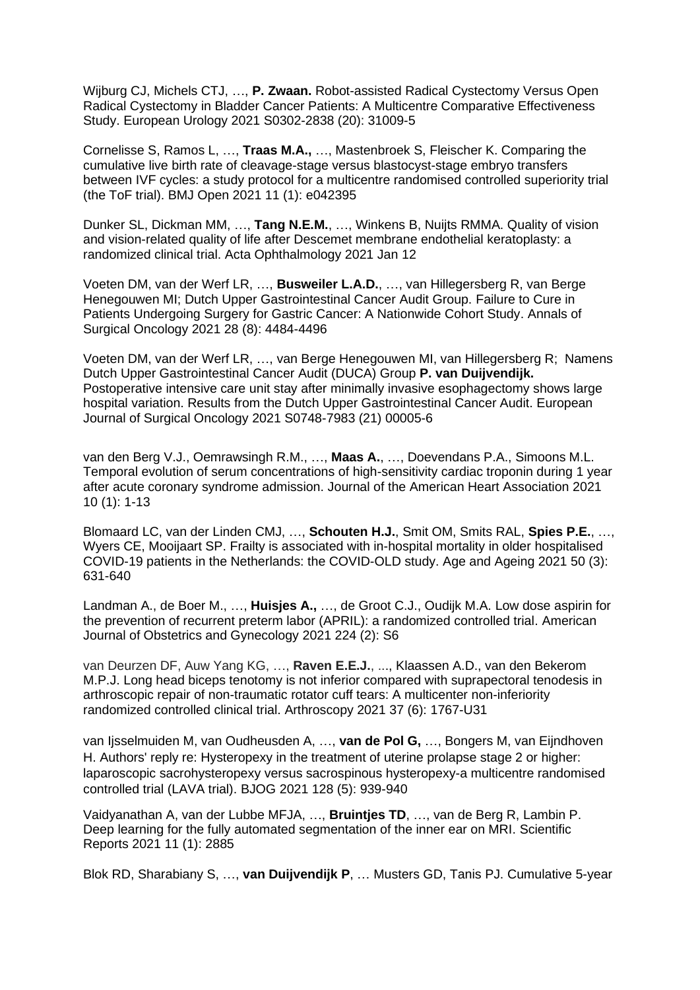Wijburg CJ, Michels CTJ, …, **P. Zwaan.** Robot-assisted Radical Cystectomy Versus Open Radical Cystectomy in Bladder Cancer Patients: A Multicentre Comparative Effectiveness Study. European Urology 2021 S0302-2838 (20): 31009-5

Cornelisse S, Ramos L, …, **Traas M.A.,** …, Mastenbroek S, Fleischer K. Comparing the cumulative live birth rate of cleavage-stage versus blastocyst-stage embryo transfers between IVF cycles: a study protocol for a multicentre randomised controlled superiority trial (the ToF trial). BMJ Open 2021 11 (1): e042395

Dunker SL, Dickman MM, …, **Tang N.E.M.**, …, Winkens B, Nuijts RMMA. Quality of vision and vision-related quality of life after Descemet membrane endothelial keratoplasty: a randomized clinical trial. Acta Ophthalmology 2021 Jan 12

Voeten DM, van der Werf LR, …, **Busweiler L.A.D.**, …, van Hillegersberg R, van Berge Henegouwen MI; Dutch Upper Gastrointestinal Cancer Audit Group. Failure to Cure in Patients Undergoing Surgery for Gastric Cancer: A Nationwide Cohort Study. Annals of Surgical Oncology 2021 28 (8): 4484-4496

Voeten DM, van der Werf LR, …, van Berge Henegouwen MI, van Hillegersberg R; Namens Dutch Upper Gastrointestinal Cancer Audit (DUCA) Group **P. van Duijvendijk.**  Postoperative intensive care unit stay after minimally invasive esophagectomy shows large hospital variation. Results from the Dutch Upper Gastrointestinal Cancer Audit. European Journal of Surgical Oncology 2021 S0748-7983 (21) 00005-6

van den Berg V.J., Oemrawsingh R.M., …, **Maas A.**, …, Doevendans P.A., Simoons M.L. Temporal evolution of serum concentrations of high-sensitivity cardiac troponin during 1 year after acute coronary syndrome admission. Journal of the American Heart Association 2021 10 (1): 1-13

Blomaard LC, van der Linden CMJ, …, **Schouten H.J.**, Smit OM, Smits RAL, **Spies P.E.**, …, Wyers CE, Mooijaart SP. Frailty is associated with in-hospital mortality in older hospitalised COVID-19 patients in the Netherlands: the COVID-OLD study. Age and Ageing 2021 50 (3): 631-640

Landman A., de Boer M., …, **Huisjes A.,** …, de Groot C.J., Oudijk M.A. Low dose aspirin for the prevention of recurrent preterm labor (APRIL): a randomized controlled trial. American Journal of Obstetrics and Gynecology 2021 224 (2): S6

van Deurzen DF, Auw Yang KG, …, **Raven E.E.J.**, ..., Klaassen A.D., van den Bekerom M.P.J. Long head biceps tenotomy is not inferior compared with suprapectoral tenodesis in arthroscopic repair of non-traumatic rotator cuff tears: A multicenter non-inferiority randomized controlled clinical trial. Arthroscopy 2021 37 (6): 1767-U31

van Ijsselmuiden M, van Oudheusden A, …, **van de Pol G,** …, Bongers M, van Eijndhoven H. Authors' reply re: Hysteropexy in the treatment of uterine prolapse stage 2 or higher: laparoscopic sacrohysteropexy versus sacrospinous hysteropexy-a multicentre randomised controlled trial (LAVA trial). BJOG 2021 128 (5): 939-940

Vaidyanathan A, van der Lubbe MFJA, …, **Bruintjes TD**, …, van de Berg R, Lambin P. Deep learning for the fully automated segmentation of the inner ear on MRI. Scientific Reports 2021 11 (1): 2885

Blok RD, Sharabiany S, …, **van Duijvendijk P**, … Musters GD, Tanis PJ. Cumulative 5-year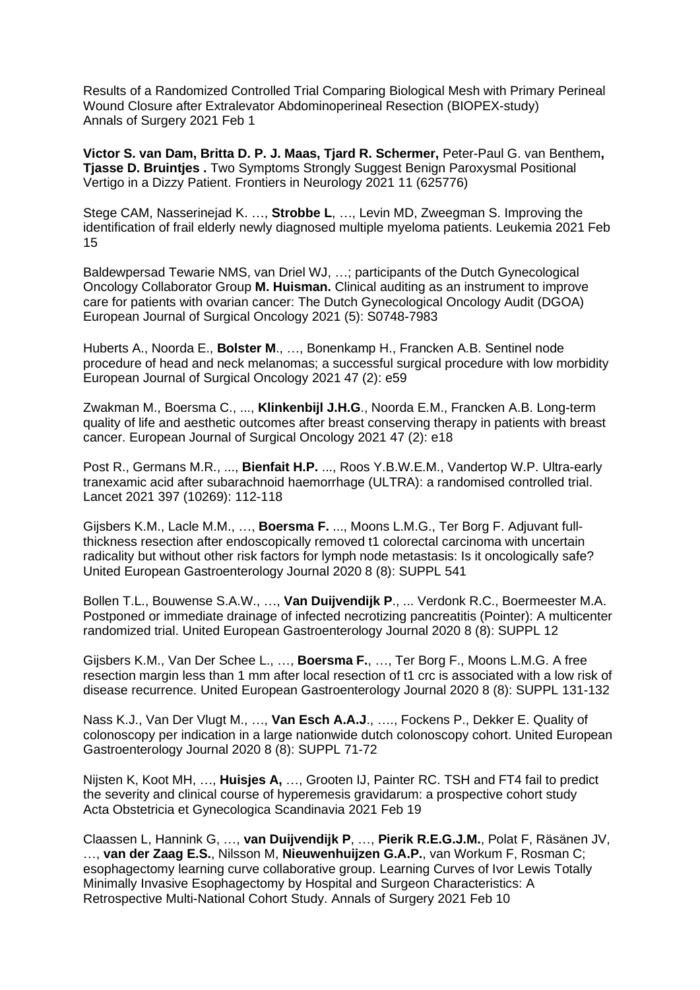Results of a Randomized Controlled Trial Comparing Biological Mesh with Primary Perineal Wound Closure after Extralevator Abdominoperineal Resection (BIOPEX-study) Annals of Surgery 2021 Feb 1

**Victor S. van Dam, Britta D. P. J. Maas, Tjard R. Schermer,** Peter-Paul G. van Benthem**, Tjasse D. Bruintjes .** Two Symptoms Strongly Suggest Benign Paroxysmal Positional Vertigo in a Dizzy Patient. Frontiers in Neurology 2021 11 (625776)

Stege CAM, Nasserinejad K. …, **Strobbe L**, …, Levin MD, Zweegman S. Improving the identification of frail elderly newly diagnosed multiple myeloma patients. Leukemia 2021 Feb 15

Baldewpersad Tewarie NMS, van Driel WJ, …; participants of the Dutch Gynecological Oncology Collaborator Group **M. Huisman.** Clinical auditing as an instrument to improve care for patients with ovarian cancer: The Dutch Gynecological Oncology Audit (DGOA) European Journal of Surgical Oncology 2021 (5): S0748-7983

Huberts A., Noorda E., **Bolster M**., …, Bonenkamp H., Francken A.B. Sentinel node procedure of head and neck melanomas; a successful surgical procedure with low morbidity European Journal of Surgical Oncology 2021 47 (2): e59

Zwakman M., Boersma C., ..., **Klinkenbijl J.H.G**., Noorda E.M., Francken A.B. Long-term quality of life and aesthetic outcomes after breast conserving therapy in patients with breast cancer. European Journal of Surgical Oncology 2021 47 (2): e18

Post R., Germans M.R., ..., **Bienfait H.P.** ..., Roos Y.B.W.E.M., Vandertop W.P. Ultra-early tranexamic acid after subarachnoid haemorrhage (ULTRA): a randomised controlled trial. Lancet 2021 397 (10269): 112-118

Gijsbers K.M., Lacle M.M., …, **Boersma F.** ..., Moons L.M.G., Ter Borg F. Adjuvant fullthickness resection after endoscopically removed t1 colorectal carcinoma with uncertain radicality but without other risk factors for lymph node metastasis: Is it oncologically safe? United European Gastroenterology Journal 2020 8 (8): SUPPL 541

Bollen T.L., Bouwense S.A.W., …, **Van Duijvendijk P**., ... Verdonk R.C., Boermeester M.A. Postponed or immediate drainage of infected necrotizing pancreatitis (Pointer): A multicenter randomized trial. United European Gastroenterology Journal 2020 8 (8): SUPPL 12

Gijsbers K.M., Van Der Schee L., …, **Boersma F.**, …, Ter Borg F., Moons L.M.G. A free resection margin less than 1 mm after local resection of t1 crc is associated with a low risk of disease recurrence. United European Gastroenterology Journal 2020 8 (8): SUPPL 131-132

Nass K.J., Van Der Vlugt M., …, **Van Esch A.A.J**., …., Fockens P., Dekker E. Quality of colonoscopy per indication in a large nationwide dutch colonoscopy cohort. United European Gastroenterology Journal 2020 8 (8): SUPPL 71-72

Nijsten K, Koot MH, …, **Huisjes A,** …, Grooten IJ, Painter RC. TSH and FT4 fail to predict the severity and clinical course of hyperemesis gravidarum: a prospective cohort study Acta Obstetricia et Gynecologica Scandinavia 2021 Feb 19

Claassen L, Hannink G, …, **van Duijvendijk P**, …, **Pierik R.E.G.J.M.**, Polat F, Räsänen JV, …, **van der Zaag E.S.**, Nilsson M, **Nieuwenhuijzen G.A.P.**, van Workum F, Rosman C; esophagectomy learning curve collaborative group. Learning Curves of Ivor Lewis Totally Minimally Invasive Esophagectomy by Hospital and Surgeon Characteristics: A Retrospective Multi-National Cohort Study. Annals of Surgery 2021 Feb 10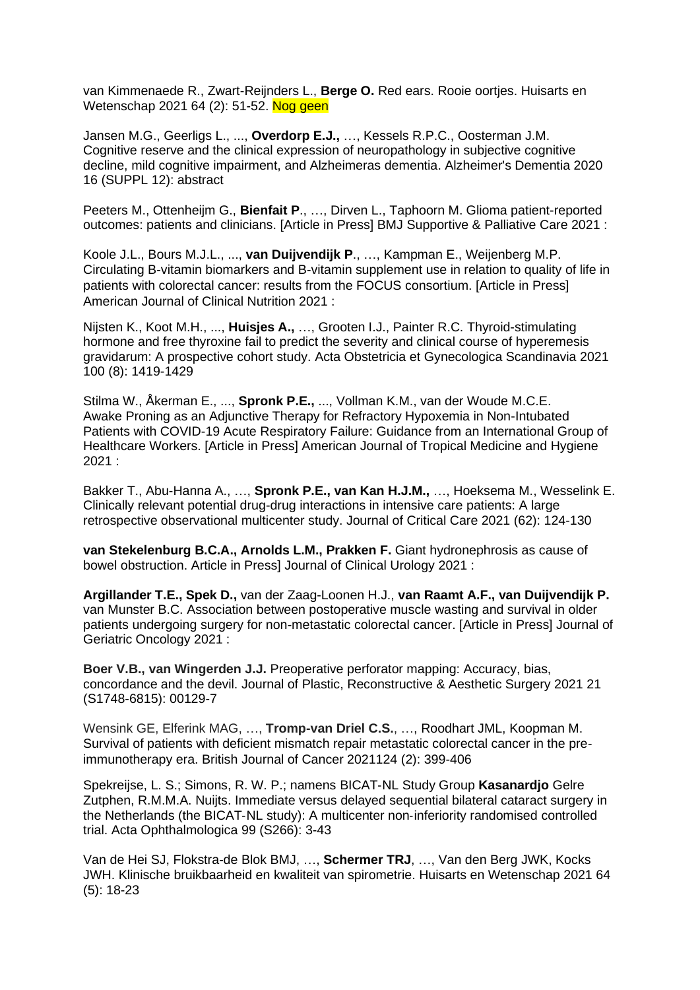van Kimmenaede R., Zwart-Reijnders L., **Berge O.** Red ears. Rooie oortjes. Huisarts en Wetenschap 2021 64 (2): 51-52. Nog geen

Jansen M.G., Geerligs L., ..., **Overdorp E.J.,** …, Kessels R.P.C., Oosterman J.M. Cognitive reserve and the clinical expression of neuropathology in subjective cognitive decline, mild cognitive impairment, and Alzheimeras dementia. Alzheimer's Dementia 2020 16 (SUPPL 12): abstract

Peeters M., Ottenheijm G., **Bienfait P**., …, Dirven L., Taphoorn M. Glioma patient-reported outcomes: patients and clinicians. [Article in Press] BMJ Supportive & Palliative Care 2021 :

Koole J.L., Bours M.J.L., ..., **van Duijvendijk P**., …, Kampman E., Weijenberg M.P. Circulating B-vitamin biomarkers and B-vitamin supplement use in relation to quality of life in patients with colorectal cancer: results from the FOCUS consortium. [Article in Press] American Journal of Clinical Nutrition 2021 :

Nijsten K., Koot M.H., ..., **Huisjes A.,** …, Grooten I.J., Painter R.C. Thyroid-stimulating hormone and free thyroxine fail to predict the severity and clinical course of hyperemesis gravidarum: A prospective cohort study. Acta Obstetricia et Gynecologica Scandinavia 2021 100 (8): 1419-1429

Stilma W., Åkerman E., ..., **Spronk P.E.,** ..., Vollman K.M., van der Woude M.C.E. Awake Proning as an Adjunctive Therapy for Refractory Hypoxemia in Non-Intubated Patients with COVID-19 Acute Respiratory Failure: Guidance from an International Group of Healthcare Workers. [Article in Press] American Journal of Tropical Medicine and Hygiene 2021 :

Bakker T., Abu-Hanna A., …, **Spronk P.E., van Kan H.J.M.,** …, Hoeksema M., Wesselink E. Clinically relevant potential drug-drug interactions in intensive care patients: A large retrospective observational multicenter study. Journal of Critical Care 2021 (62): 124-130

**van Stekelenburg B.C.A., Arnolds L.M., Prakken F.** Giant hydronephrosis as cause of bowel obstruction. Article in Press] Journal of Clinical Urology 2021 :

**Argillander T.E., Spek D.,** van der Zaag-Loonen H.J., **van Raamt A.F., van Duijvendijk P.** van Munster B.C. Association between postoperative muscle wasting and survival in older patients undergoing surgery for non-metastatic colorectal cancer. [Article in Press] Journal of Geriatric Oncology 2021 :

**Boer V.B., van Wingerden J.J.** Preoperative perforator mapping: Accuracy, bias, concordance and the devil. Journal of Plastic, Reconstructive & Aesthetic Surgery 2021 21 (S1748-6815): 00129-7

Wensink GE, Elferink MAG, …, **Tromp-van Driel C.S.**, …, Roodhart JML, Koopman M. Survival of patients with deficient mismatch repair metastatic colorectal cancer in the preimmunotherapy era. British Journal of Cancer 2021124 (2): 399-406

Spekreijse, L. S.; Simons, R. W. P.; namens BICAT‐NL Study Group **Kasanardjo** Gelre Zutphen, R.M.M.A. Nuijts. Immediate versus delayed sequential bilateral cataract surgery in the Netherlands (the BICAT‐NL study): A multicenter non‐inferiority randomised controlled trial. Acta Ophthalmologica 99 (S266): 3-43

Van de Hei SJ, Flokstra-de Blok BMJ, …, **Schermer TRJ**, …, Van den Berg JWK, Kocks JWH. Klinische bruikbaarheid en kwaliteit van spirometrie. Huisarts en Wetenschap 2021 64 (5): 18-23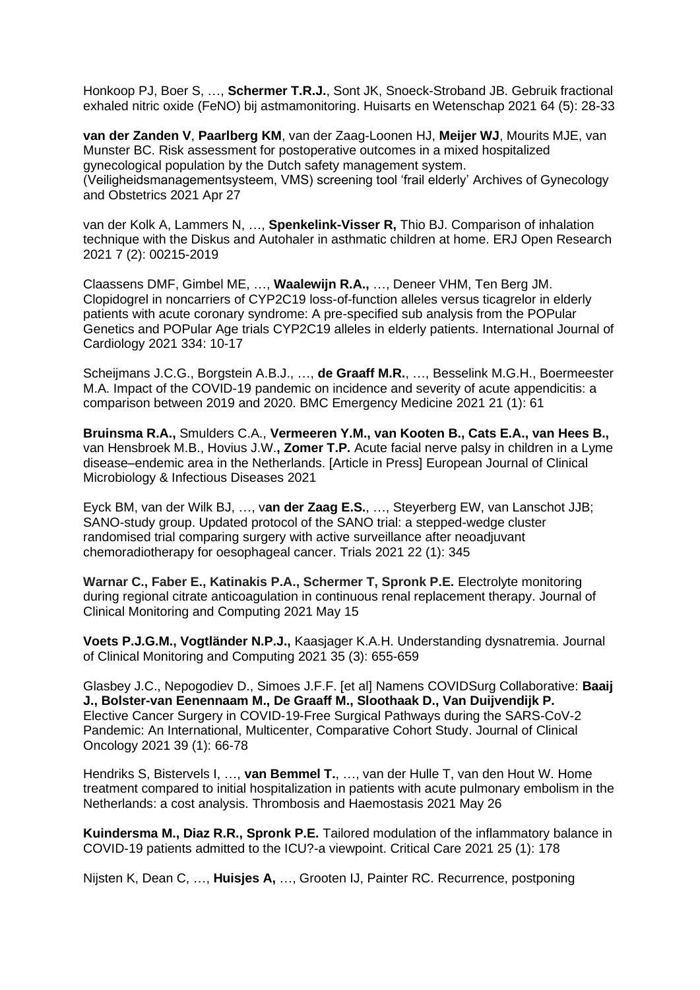Honkoop PJ, Boer S, …, **Schermer T.R.J.**, Sont JK, Snoeck-Stroband JB. Gebruik fractional exhaled nitric oxide (FeNO) bij astmamonitoring. Huisarts en Wetenschap 2021 64 (5): 28-33

**van der Zanden V**, **Paarlberg KM**, van der Zaag-Loonen HJ, **Meijer WJ**, Mourits MJE, van Munster BC. Risk assessment for postoperative outcomes in a mixed hospitalized gynecological population by the Dutch safety management system. (Veiligheidsmanagementsysteem, VMS) screening tool 'frail elderly' Archives of Gynecology and Obstetrics 2021 Apr 27

van der Kolk A, Lammers N, …, **Spenkelink-Visser R,** Thio BJ. Comparison of inhalation technique with the Diskus and Autohaler in asthmatic children at home. ERJ Open Research 2021 7 (2): 00215-2019

Claassens DMF, Gimbel ME, …, **Waalewijn R.A.,** …, Deneer VHM, Ten Berg JM. Clopidogrel in noncarriers of CYP2C19 loss-of-function alleles versus ticagrelor in elderly patients with acute coronary syndrome: A pre-specified sub analysis from the POPular Genetics and POPular Age trials CYP2C19 alleles in elderly patients. International Journal of Cardiology 2021 334: 10-17

Scheijmans J.C.G., Borgstein A.B.J., …, **de Graaff M.R.**, …, Besselink M.G.H., Boermeester M.A. Impact of the COVID-19 pandemic on incidence and severity of acute appendicitis: a comparison between 2019 and 2020. BMC Emergency Medicine 2021 21 (1): 61

**Bruinsma R.A.,** Smulders C.A., **Vermeeren Y.M., van Kooten B., Cats E.A., van Hees B.,**  van Hensbroek M.B., Hovius J.W.**, Zomer T.P.** Acute facial nerve palsy in children in a Lyme disease–endemic area in the Netherlands. [Article in Press] European Journal of Clinical Microbiology & Infectious Diseases 2021

Eyck BM, van der Wilk BJ, …, v**an der Zaag E.S.**, …, Steyerberg EW, van Lanschot JJB; SANO-study group. Updated protocol of the SANO trial: a stepped-wedge cluster randomised trial comparing surgery with active surveillance after neoadjuvant chemoradiotherapy for oesophageal cancer. Trials 2021 22 (1): 345

**Warnar C., Faber E., Katinakis P.A., Schermer T, Spronk P.E.** Electrolyte monitoring during regional citrate anticoagulation in continuous renal replacement therapy. Journal of Clinical Monitoring and Computing 2021 May 15

**Voets P.J.G.M., Vogtländer N.P.J.,** Kaasjager K.A.H. Understanding dysnatremia. Journal of Clinical Monitoring and Computing 2021 35 (3): 655-659

Glasbey J.C., Nepogodiev D., Simoes J.F.F. [et al] Namens [COVIDSurg Collaborative:](https://pubmed.ncbi.nlm.nih.gov/?sort=date&term=COVIDSurg+Collaborative%5BCorporate+Author%5D) **Baaij J., Bolster-van Eenennaam M., De Graaff M., Sloothaak D., Van Duijvendijk P.**  Elective Cancer Surgery in COVID-19-Free Surgical Pathways during the SARS-CoV-2 Pandemic: An International, Multicenter, Comparative Cohort Study. Journal of Clinical Oncology 2021 39 (1): 66-78

Hendriks S, Bistervels I, …, **van Bemmel T.**, …, van der Hulle T, van den Hout W. Home treatment compared to initial hospitalization in patients with acute pulmonary embolism in the Netherlands: a cost analysis. Thrombosis and Haemostasis 2021 May 26

**Kuindersma M., Diaz R.R., Spronk P.E.** Tailored modulation of the inflammatory balance in COVID-19 patients admitted to the ICU?-a viewpoint. Critical Care 2021 25 (1): 178

Nijsten K, Dean C, …, **Huisjes A,** …, Grooten IJ, Painter RC. Recurrence, postponing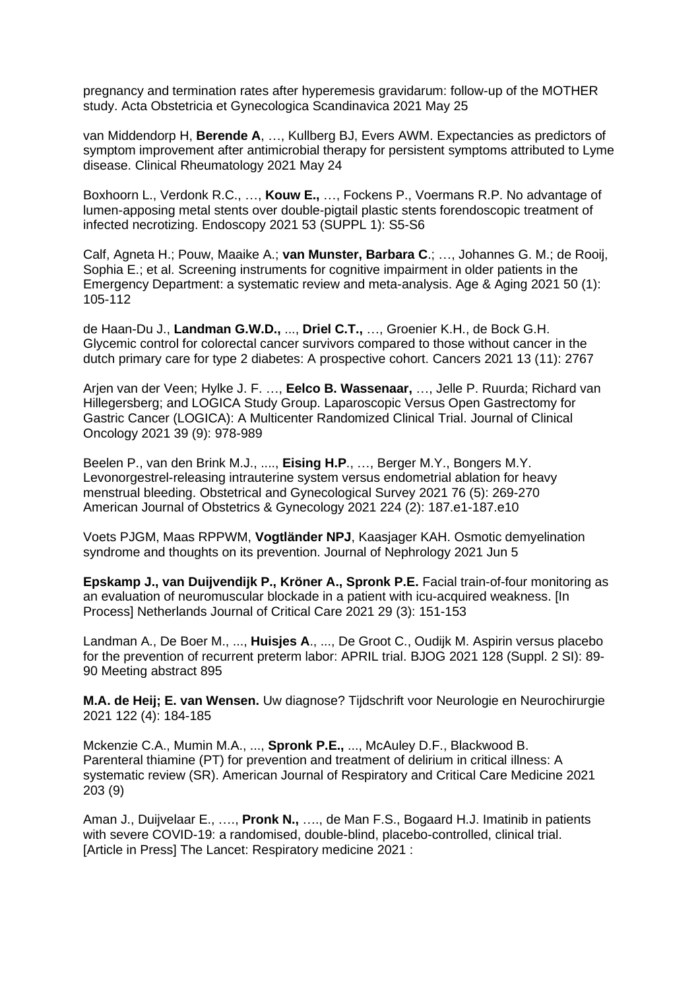pregnancy and termination rates after hyperemesis gravidarum: follow-up of the MOTHER study. Acta Obstetricia et Gynecologica Scandinavica 2021 May 25

van Middendorp H, **Berende A**, …, Kullberg BJ, Evers AWM. Expectancies as predictors of symptom improvement after antimicrobial therapy for persistent symptoms attributed to Lyme disease. Clinical Rheumatology 2021 May 24

Boxhoorn L., Verdonk R.C., …, **Kouw E.,** …, Fockens P., Voermans R.P. No advantage of lumen-apposing metal stents over double-pigtail plastic stents forendoscopic treatment of infected necrotizing. Endoscopy 2021 53 (SUPPL 1): S5-S6

Calf, Agneta H.; Pouw, Maaike A.; **van Munster, Barbara C**.; …, Johannes G. M.; de Rooij, Sophia E.; et al. Screening instruments for cognitive impairment in older patients in the Emergency Department: a systematic review and meta-analysis. Age & Aging 2021 50 (1): 105-112

de Haan-Du J., **Landman G.W.D.,** ..., **Driel C.T.,** …, Groenier K.H., de Bock G.H. Glycemic control for colorectal cancer survivors compared to those without cancer in the dutch primary care for type 2 diabetes: A prospective cohort. Cancers 2021 13 (11): 2767

Arjen van der Veen; Hylke J. F. …, **Eelco B. Wassenaar,** …, Jelle P. Ruurda; Richard van Hillegersberg; and LOGICA Study Group. Laparoscopic Versus Open Gastrectomy for Gastric Cancer (LOGICA): A Multicenter Randomized Clinical Trial. Journal of Clinical Oncology 2021 39 (9): 978-989

Beelen P., van den Brink M.J., ...., **Eising H.P**., …, Berger M.Y., Bongers M.Y. Levonorgestrel-releasing intrauterine system versus endometrial ablation for heavy menstrual bleeding. Obstetrical and Gynecological Survey 2021 76 (5): 269-270 American Journal of Obstetrics & Gynecology 2021 224 (2): 187.e1-187.e10

Voets PJGM, Maas RPPWM, **Vogtländer NPJ**, Kaasjager KAH. Osmotic demyelination syndrome and thoughts on its prevention. Journal of Nephrology 2021 Jun 5

**Epskamp J., van Duijvendijk P., Kröner A., Spronk P.E.** Facial train-of-four monitoring as an evaluation of neuromuscular blockade in a patient with icu-acquired weakness. [In Process] Netherlands Journal of Critical Care 2021 29 (3): 151-153

Landman A., De Boer M., ..., **Huisjes A**., ..., De Groot C., Oudijk M. Aspirin versus placebo for the prevention of recurrent preterm labor: APRIL trial. BJOG 2021 128 (Suppl. 2 SI): 89- 90 Meeting abstract 895

**M.A. de Heij; E. van Wensen.** Uw diagnose? Tijdschrift voor Neurologie en Neurochirurgie 2021 122 (4): 184-185

Mckenzie C.A., Mumin M.A., ..., **Spronk P.E.,** ..., McAuley D.F., Blackwood B. Parenteral thiamine (PT) for prevention and treatment of delirium in critical illness: A systematic review (SR). American Journal of Respiratory and Critical Care Medicine 2021 203 (9)

Aman J., Duijvelaar E., …., **Pronk N.,** …., de Man F.S., Bogaard H.J. Imatinib in patients with severe COVID-19: a randomised, double-blind, placebo-controlled, clinical trial. [Article in Press] The Lancet: Respiratory medicine 2021 :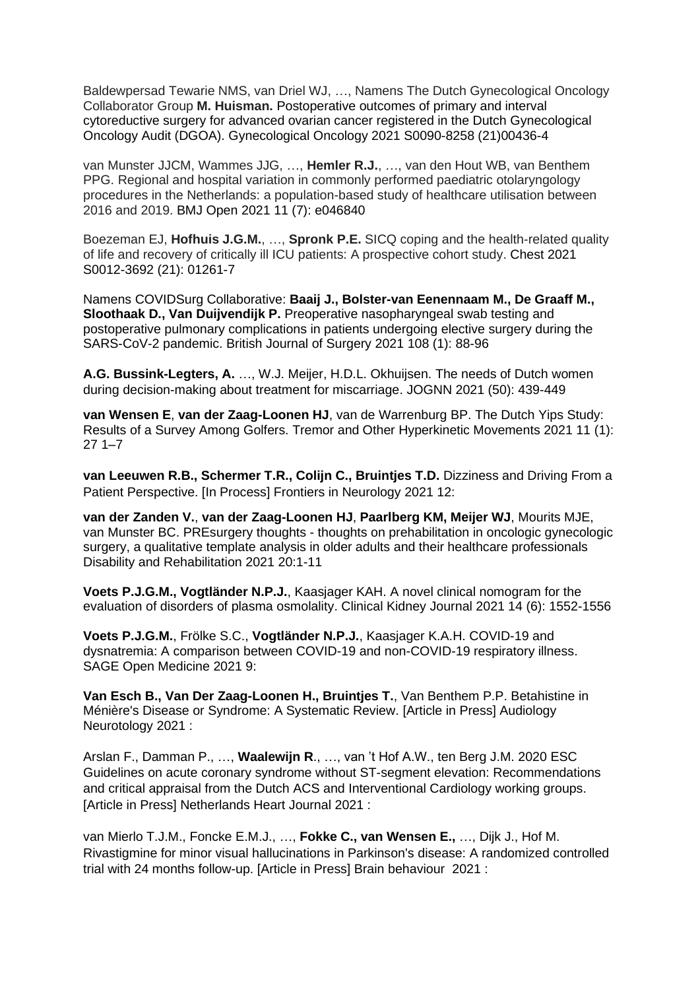Baldewpersad Tewarie NMS, van Driel WJ, …, Namens The Dutch Gynecological Oncology Collaborator Group **M. Huisman.** Postoperative outcomes of primary and interval cytoreductive surgery for advanced ovarian cancer registered in the Dutch Gynecological Oncology Audit (DGOA). Gynecological Oncology 2021 S0090-8258 (21)00436-4

van Munster JJCM, Wammes JJG, …, **Hemler R.J.**, …, van den Hout WB, van Benthem PPG. Regional and hospital variation in commonly performed paediatric otolaryngology procedures in the Netherlands: a population-based study of healthcare utilisation between 2016 and 2019. BMJ Open 2021 11 (7): e046840

Boezeman EJ, **Hofhuis J.G.M.**, …, **Spronk P.E.** SICQ coping and the health-related quality of life and recovery of critically ill ICU patients: A prospective cohort study. Chest 2021 S0012-3692 (21): 01261-7

Namens COVIDSurg Collaborative: **Baaij J., Bolster-van Eenennaam M., De Graaff M., Sloothaak D., Van Duijvendijk P.** Preoperative nasopharyngeal swab testing and postoperative pulmonary complications in patients undergoing elective surgery during the SARS-CoV-2 pandemic. British Journal of Surgery 2021 108 (1): 88-96

**A.G. Bussink-Legters, A.** …, W.J. Meijer, H.D.L. Okhuijsen. The needs of Dutch women during decision-making about treatment for miscarriage. JOGNN 2021 (50): 439-449

**van Wensen E**, **van der Zaag-Loonen HJ**, van de Warrenburg BP. The Dutch Yips Study: Results of a Survey Among Golfers. Tremor and Other Hyperkinetic Movements 2021 11 (1): 27 1–7

**van Leeuwen R.B., Schermer T.R., Colijn C., Bruintjes T.D.** Dizziness and Driving From a Patient Perspective. [In Process] Frontiers in Neurology 2021 12:

**van der Zanden V.**, **van der Zaag-Loonen HJ**, **Paarlberg KM, Meijer WJ**, Mourits MJE, van Munster BC. PREsurgery thoughts - thoughts on prehabilitation in oncologic gynecologic surgery, a qualitative template analysis in older adults and their healthcare professionals Disability and Rehabilitation 2021 20:1-11

**Voets P.J.G.M., Vogtländer N.P.J.**, Kaasjager KAH. A novel clinical nomogram for the evaluation of disorders of plasma osmolality. Clinical Kidney Journal 2021 14 (6): 1552-1556

**Voets P.J.G.M.**, Frölke S.C., **Vogtländer N.P.J.**, Kaasjager K.A.H. COVID-19 and dysnatremia: A comparison between COVID-19 and non-COVID-19 respiratory illness. SAGE Open Medicine 2021 9:

**Van Esch B., Van Der Zaag-Loonen H., Bruintjes T.**, Van Benthem P.P. Betahistine in Ménière's Disease or Syndrome: A Systematic Review. [Article in Press] Audiology Neurotology 2021 :

Arslan F., Damman P., …, **Waalewijn R**., …, van 't Hof A.W., ten Berg J.M. 2020 ESC Guidelines on acute coronary syndrome without ST-segment elevation: Recommendations and critical appraisal from the Dutch ACS and Interventional Cardiology working groups. [Article in Press] Netherlands Heart Journal 2021 :

van Mierlo T.J.M., Foncke E.M.J., …, **Fokke C., van Wensen E.,** …, Dijk J., Hof M. Rivastigmine for minor visual hallucinations in Parkinson's disease: A randomized controlled trial with 24 months follow-up. [Article in Press] Brain behaviour 2021 :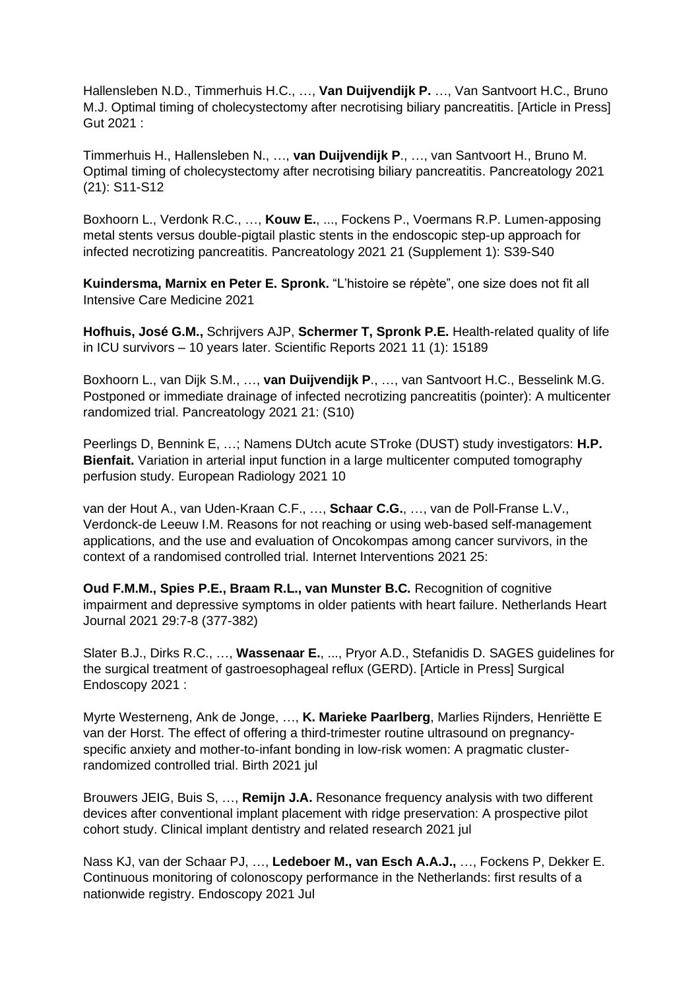Hallensleben N.D., Timmerhuis H.C., …, **Van Duijvendijk P.** …, Van Santvoort H.C., Bruno M.J. Optimal timing of cholecystectomy after necrotising biliary pancreatitis. [Article in Press] Gut 2021 :

Timmerhuis H., Hallensleben N., …, **van Duijvendijk P**., …, van Santvoort H., Bruno M. Optimal timing of cholecystectomy after necrotising biliary pancreatitis. Pancreatology 2021 (21): S11-S12

Boxhoorn L., Verdonk R.C., …, **Kouw E.**, ..., Fockens P., Voermans R.P. Lumen-apposing metal stents versus double-pigtail plastic stents in the endoscopic step-up approach for infected necrotizing pancreatitis. Pancreatology 2021 21 (Supplement 1): S39-S40

**Kuindersma, Marnix en Peter E. Spronk.** "L'histoire se répète", one size does not fit all Intensive Care Medicine 2021

**Hofhuis, José G.M.,** Schrijvers AJP, **Schermer T, Spronk P.E.** Health-related quality of life in ICU survivors – 10 years later. Scientific Reports 2021 11 (1): 15189

Boxhoorn L., van Dijk S.M., …, **van Duijvendijk P**., …, van Santvoort H.C., Besselink M.G. Postponed or immediate drainage of infected necrotizing pancreatitis (pointer): A multicenter randomized trial. Pancreatology 2021 21: (S10)

Peerlings D, Bennink E, …; Namens DUtch acute STroke (DUST) study investigators: **H.P. Bienfait.** Variation in arterial input function in a large multicenter computed tomography perfusion study. European Radiology 2021 10

van der Hout A., van Uden-Kraan C.F., …, **Schaar C.G.**, …, van de Poll-Franse L.V., Verdonck-de Leeuw I.M. Reasons for not reaching or using web-based self-management applications, and the use and evaluation of Oncokompas among cancer survivors, in the context of a randomised controlled trial. Internet Interventions 2021 25:

**Oud F.M.M., Spies P.E., Braam R.L., van Munster B.C.** Recognition of cognitive impairment and depressive symptoms in older patients with heart failure. Netherlands Heart Journal 2021 29:7-8 (377-382)

Slater B.J., Dirks R.C., …, **Wassenaar E.**, ..., Pryor A.D., Stefanidis D. SAGES guidelines for the surgical treatment of gastroesophageal reflux (GERD). [Article in Press] Surgical Endoscopy 2021 :

Myrte Westerneng, Ank de Jonge, …, **K. Marieke Paarlberg**, Marlies Rijnders, Henriëtte E van der Horst. The effect of offering a third-trimester routine ultrasound on pregnancyspecific anxiety and mother-to-infant bonding in low-risk women: A pragmatic clusterrandomized controlled trial. Birth 2021 jul

Brouwers JEIG, Buis S, …, **Remijn J.A.** Resonance frequency analysis with two different devices after conventional implant placement with ridge preservation: A prospective pilot cohort study. Clinical implant dentistry and related research 2021 jul

Nass KJ, van der Schaar PJ, …, **Ledeboer M., van Esch A.A.J.,** …, Fockens P, Dekker E. Continuous monitoring of colonoscopy performance in the Netherlands: first results of a nationwide registry. Endoscopy 2021 Jul